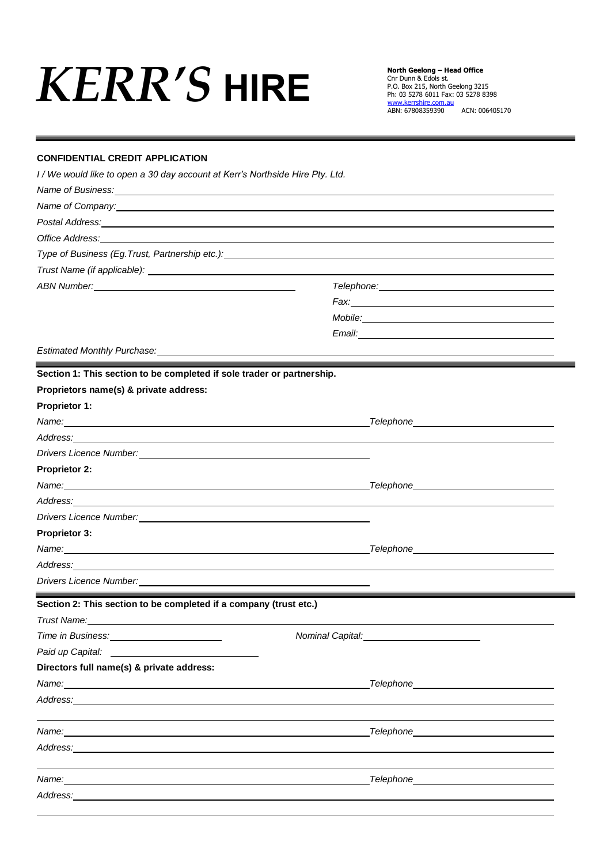## *KERR'S* **HIRE**

**North Geelong – Head Office** Cnr Dunn & Edols st. P.O. Box 215, North Geelong 3215 Ph: 03 5278 6011 Fax: 03 5278 8398 [www.kerrshire.com.au](http://www.kerrshire.com.au/) ABN: 67808359390 ACN: 006405170

## **CONFIDENTIAL CREDIT APPLICATION**

*I / We would like to open a 30 day account at Kerr's Northside Hire Pty. Ltd.*

| Name of Business: Name of Business and the Contract of the Contract of the Contract of the Contract of the Contract of the Contract of the Contract of the Contract of the Contract of the Contract of the Contract of the Con                                                                                                                                 |                                                                                                      |  |  |  |  |  |
|----------------------------------------------------------------------------------------------------------------------------------------------------------------------------------------------------------------------------------------------------------------------------------------------------------------------------------------------------------------|------------------------------------------------------------------------------------------------------|--|--|--|--|--|
| Name of Company: Name of Company:                                                                                                                                                                                                                                                                                                                              |                                                                                                      |  |  |  |  |  |
| Postal Address: <u>contract and contract and contract and contract and contract and contract and contract and contract and contract and contract and contract and contract and contract and contract and contract and contract a</u><br>Office Address: <u>the contract of the contract of the contract of the contract of the contract of the contract of</u> |                                                                                                      |  |  |  |  |  |
|                                                                                                                                                                                                                                                                                                                                                                |                                                                                                      |  |  |  |  |  |
|                                                                                                                                                                                                                                                                                                                                                                |                                                                                                      |  |  |  |  |  |
| ABN Number: National Absolution of the Contract of the Contract of the Contract of the Contract of the Contract of the Contract of the Contract of the Contract of the Contract of the Contract of the Contract of the Contrac                                                                                                                                 |                                                                                                      |  |  |  |  |  |
|                                                                                                                                                                                                                                                                                                                                                                |                                                                                                      |  |  |  |  |  |
|                                                                                                                                                                                                                                                                                                                                                                | Mobile: Note: Note: Note: Note: Note: Note: Note: Note: Note: Note: Note: Note: Note: Note: Note: No |  |  |  |  |  |
|                                                                                                                                                                                                                                                                                                                                                                |                                                                                                      |  |  |  |  |  |
| Estimated Monthly Purchase: Manual Assembly Purchase: Manual Assembly Purchase:                                                                                                                                                                                                                                                                                |                                                                                                      |  |  |  |  |  |
| Section 1: This section to be completed if sole trader or partnership.                                                                                                                                                                                                                                                                                         |                                                                                                      |  |  |  |  |  |
| Proprietors name(s) & private address:                                                                                                                                                                                                                                                                                                                         |                                                                                                      |  |  |  |  |  |
| <b>Proprietor 1:</b>                                                                                                                                                                                                                                                                                                                                           |                                                                                                      |  |  |  |  |  |
|                                                                                                                                                                                                                                                                                                                                                                |                                                                                                      |  |  |  |  |  |
|                                                                                                                                                                                                                                                                                                                                                                |                                                                                                      |  |  |  |  |  |
|                                                                                                                                                                                                                                                                                                                                                                |                                                                                                      |  |  |  |  |  |
| <b>Proprietor 2:</b>                                                                                                                                                                                                                                                                                                                                           |                                                                                                      |  |  |  |  |  |
|                                                                                                                                                                                                                                                                                                                                                                |                                                                                                      |  |  |  |  |  |
| Address: experience and a series of the series of the series of the series of the series of the series of the                                                                                                                                                                                                                                                  |                                                                                                      |  |  |  |  |  |
|                                                                                                                                                                                                                                                                                                                                                                |                                                                                                      |  |  |  |  |  |
| <b>Proprietor 3:</b>                                                                                                                                                                                                                                                                                                                                           |                                                                                                      |  |  |  |  |  |
|                                                                                                                                                                                                                                                                                                                                                                |                                                                                                      |  |  |  |  |  |
| Address: Note that the contract of the contract of the contract of the contract of the contract of the contract of the contract of the contract of the contract of the contract of the contract of the contract of the contrac                                                                                                                                 |                                                                                                      |  |  |  |  |  |
| Drivers Licence Number: <u>Cambridge Communication</u>                                                                                                                                                                                                                                                                                                         |                                                                                                      |  |  |  |  |  |
| Section 2: This section to be completed if a company (trust etc.)                                                                                                                                                                                                                                                                                              |                                                                                                      |  |  |  |  |  |
|                                                                                                                                                                                                                                                                                                                                                                |                                                                                                      |  |  |  |  |  |
| Time in Business:<br><u>Landon Mindon Mindon Mindon Mindon Mindon Mindon Mindon Mindon Mindon Mindon Mindon Mindon Mindon Mindon Mindon Mindon Mindon Mindon Mindon Mindon Mindon Mindon Mindon Mindon Mindon Mindon Mindon Mindon</u>                                                                                                                         | Nominal Capital:                                                                                     |  |  |  |  |  |
|                                                                                                                                                                                                                                                                                                                                                                |                                                                                                      |  |  |  |  |  |
| Directors full name(s) & private address:                                                                                                                                                                                                                                                                                                                      |                                                                                                      |  |  |  |  |  |
| Name:<br><u> 1989 - Johann John Stone, markin fizikar (h. 1982).</u>                                                                                                                                                                                                                                                                                           |                                                                                                      |  |  |  |  |  |
|                                                                                                                                                                                                                                                                                                                                                                |                                                                                                      |  |  |  |  |  |
|                                                                                                                                                                                                                                                                                                                                                                |                                                                                                      |  |  |  |  |  |
|                                                                                                                                                                                                                                                                                                                                                                |                                                                                                      |  |  |  |  |  |
| Address: 1988                                                                                                                                                                                                                                                                                                                                                  |                                                                                                      |  |  |  |  |  |
| Name: Name and the second contract of the second contract of the second contract of the second contract of the second contract of the second contract of the second contract of the second contract of the second contract of                                                                                                                                  |                                                                                                      |  |  |  |  |  |
| Address: Analysis and the contract of the contract of the contract of the contract of the contract of the contract of the contract of the contract of the contract of the contract of the contract of the contract of the cont                                                                                                                                 |                                                                                                      |  |  |  |  |  |